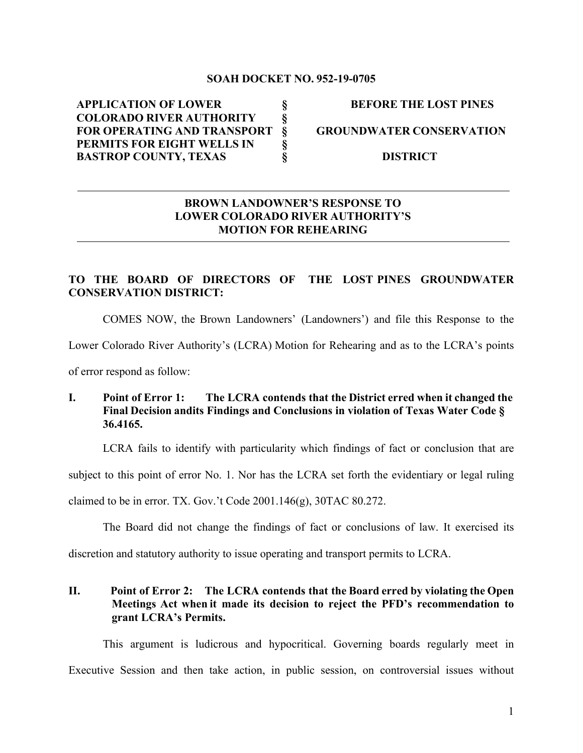#### **SOAH DOCKET NO. 952-19-0705**

**APPLICATION OF LOWER § BEFORE THE LOST PINES COLORADO RIVER AUTHORITY § FOR OPERATING AND TRANSPORT § GROUNDWATER CONSERVATION PERMITS FOR EIGHT WELLS IN § BASTROP COUNTY, TEXAS § DISTRICT**

#### **BROWN LANDOWNER'S RESPONSE TO LOWER COLORADO RIVER AUTHORITY'S MOTION FOR REHEARING**

#### **TO THE BOARD OF DIRECTORS OF THE LOST PINES GROUNDWATER CONSERVATION DISTRICT:**

COMES NOW, the Brown Landowners' (Landowners') and file this Response to the

Lower Colorado River Authority's (LCRA) Motion for Rehearing and as to the LCRA's points

of error respond as follow:

# **I. Point of Error 1: The LCRA contends that the District erred when it changed the Final Decision andits Findings and Conclusions in violation of Texas Water Code § 36.4165.**

LCRA fails to identify with particularity which findings of fact or conclusion that are

subject to this point of error No. 1. Nor has the LCRA set forth the evidentiary or legal ruling

claimed to be in error. TX. Gov.'t Code 2001.146(g), 30TAC 80.272.

The Board did not change the findings of fact or conclusions of law. It exercised its

discretion and statutory authority to issue operating and transport permits to LCRA.

## **II. Point of Error 2: The LCRA contends that the Board erred by violating the Open Meetings Act when it made its decision to reject the PFD's recommendation to grant LCRA's Permits.**

This argument is ludicrous and hypocritical. Governing boards regularly meet in Executive Session and then take action, in public session, on controversial issues without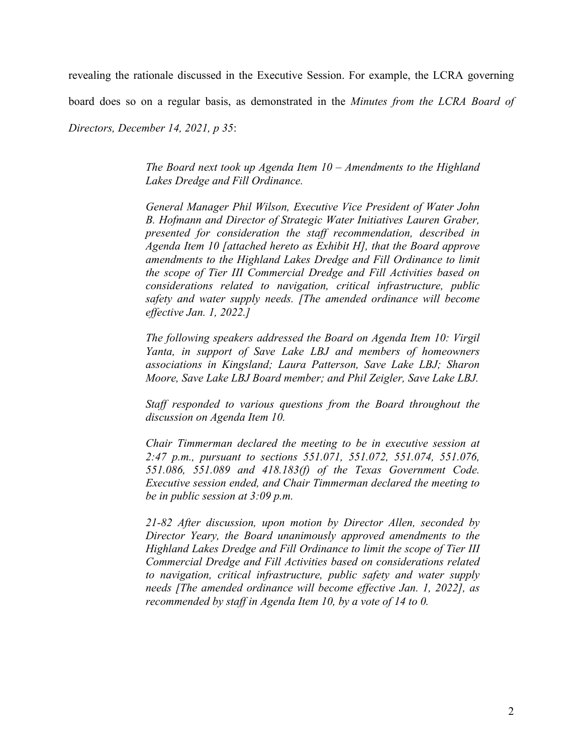revealing the rationale discussed in the Executive Session. For example, the LCRA governing

board does so on a regular basis, as demonstrated in the *Minutes from the LCRA Board of* 

*Directors, December 14, 2021, p 35*:

*The Board next took up Agenda Item 10 – Amendments to the Highland Lakes Dredge and Fill Ordinance.* 

*General Manager Phil Wilson, Executive Vice President of Water John B. Hofmann and Director of Strategic Water Initiatives Lauren Graber, presented for consideration the staff recommendation, described in Agenda Item 10 [attached hereto as Exhibit H], that the Board approve amendments to the Highland Lakes Dredge and Fill Ordinance to limit the scope of Tier III Commercial Dredge and Fill Activities based on considerations related to navigation, critical infrastructure, public safety and water supply needs. [The amended ordinance will become effective Jan. 1, 2022.]* 

*The following speakers addressed the Board on Agenda Item 10: Virgil Yanta, in support of Save Lake LBJ and members of homeowners associations in Kingsland; Laura Patterson, Save Lake LBJ; Sharon Moore, Save Lake LBJ Board member; and Phil Zeigler, Save Lake LBJ.*

*Staff responded to various questions from the Board throughout the discussion on Agenda Item 10.*

*Chair Timmerman declared the meeting to be in executive session at 2:47 p.m., pursuant to sections 551.071, 551.072, 551.074, 551.076, 551.086, 551.089 and 418.183(f) of the Texas Government Code. Executive session ended, and Chair Timmerman declared the meeting to be in public session at 3:09 p.m.*

*21-82 After discussion, upon motion by Director Allen, seconded by Director Yeary, the Board unanimously approved amendments to the Highland Lakes Dredge and Fill Ordinance to limit the scope of Tier III Commercial Dredge and Fill Activities based on considerations related to navigation, critical infrastructure, public safety and water supply needs [The amended ordinance will become effective Jan. 1, 2022], as recommended by staff in Agenda Item 10, by a vote of 14 to 0.*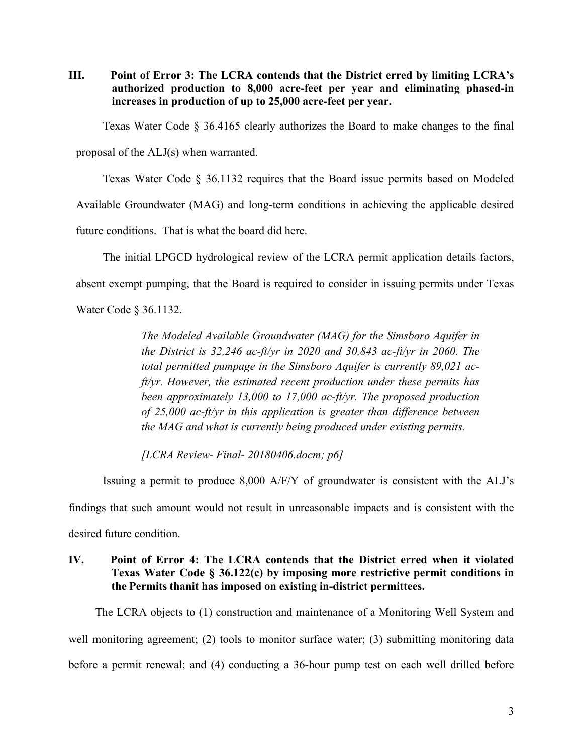**III. Point of Error 3: The LCRA contends that the District erred by limiting LCRA's authorized production to 8,000 acre-feet per year and eliminating phased-in increases in production of up to 25,000 acre-feet per year.**

Texas Water Code § 36.4165 clearly authorizes the Board to make changes to the final

proposal of the ALJ(s) when warranted.

Texas Water Code § 36.1132 requires that the Board issue permits based on Modeled

Available Groundwater (MAG) and long-term conditions in achieving the applicable desired

future conditions. That is what the board did here.

The initial LPGCD hydrological review of the LCRA permit application details factors,

absent exempt pumping, that the Board is required to consider in issuing permits under Texas

Water Code § 36.1132.

*The Modeled Available Groundwater (MAG) for the Simsboro Aquifer in the District is 32,246 ac-ft/yr in 2020 and 30,843 ac-ft/yr in 2060. The total permitted pumpage in the Simsboro Aquifer is currently 89,021 acft/yr. However, the estimated recent production under these permits has been approximately 13,000 to 17,000 ac-ft/yr. The proposed production of 25,000 ac-ft/yr in this application is greater than difference between the MAG and what is currently being produced under existing permits.*

*[LCRA Review- Final- 20180406.docm; p6]*

Issuing a permit to produce 8,000 A/F/Y of groundwater is consistent with the ALJ's findings that such amount would not result in unreasonable impacts and is consistent with the desired future condition.

## **IV. Point of Error 4: The LCRA contends that the District erred when it violated Texas Water Code § 36.122(c) by imposing more restrictive permit conditions in the Permits thanit has imposed on existing in-district permittees.**

The LCRA objects to (1) construction and maintenance of a Monitoring Well System and well monitoring agreement; (2) tools to monitor surface water; (3) submitting monitoring data before a permit renewal; and (4) conducting a 36-hour pump test on each well drilled before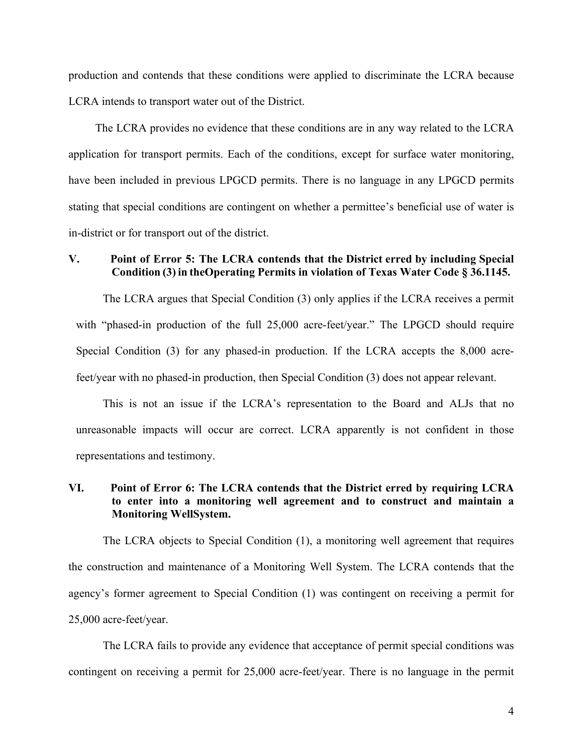production and contends that these conditions were applied to discriminate the LCRA because LCRA intends to transport water out of the District.

The LCRA provides no evidence that these conditions are in any way related to the LCRA application for transport permits. Each of the conditions, except for surface water monitoring, have been included in previous LPGCD permits. There is no language in any LPGCD permits stating that special conditions are contingent on whether a permittee's beneficial use of water is in-district or for transport out of the district.

## **V. Point of Error 5: The LCRA contends that the District erred by including Special Condition (3) in theOperating Permits in violation of Texas Water Code § 36.1145.**

The LCRA argues that Special Condition (3) only applies if the LCRA receives a permit with "phased-in production of the full 25,000 acre-feet/year." The LPGCD should require Special Condition (3) for any phased-in production. If the LCRA accepts the 8,000 acrefeet/year with no phased-in production, then Special Condition (3) does not appear relevant.

This is not an issue if the LCRA's representation to the Board and ALJs that no unreasonable impacts will occur are correct. LCRA apparently is not confident in those representations and testimony.

## **VI. Point of Error 6: The LCRA contends that the District erred by requiring LCRA to enter into a monitoring well agreement and to construct and maintain a Monitoring WellSystem.**

The LCRA objects to Special Condition (1), a monitoring well agreement that requires the construction and maintenance of a Monitoring Well System. The LCRA contends that the agency's former agreement to Special Condition (1) was contingent on receiving a permit for 25,000 acre-feet/year.

The LCRA fails to provide any evidence that acceptance of permit special conditions was contingent on receiving a permit for 25,000 acre-feet/year. There is no language in the permit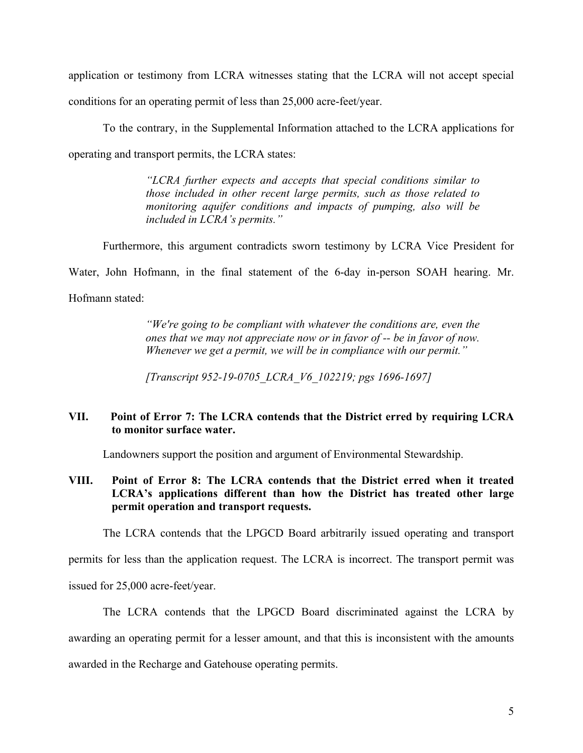application or testimony from LCRA witnesses stating that the LCRA will not accept special conditions for an operating permit of less than 25,000 acre-feet/year.

To the contrary, in the Supplemental Information attached to the LCRA applications for operating and transport permits, the LCRA states:

> *"LCRA further expects and accepts that special conditions similar to those included in other recent large permits, such as those related to monitoring aquifer conditions and impacts of pumping, also will be included in LCRA's permits."*

Furthermore, this argument contradicts sworn testimony by LCRA Vice President for

Water, John Hofmann, in the final statement of the 6-day in-person SOAH hearing. Mr.

Hofmann stated:

*"We're going to be compliant with whatever the conditions are, even the ones that we may not appreciate now or in favor of -- be in favor of now. Whenever we get a permit, we will be in compliance with our permit."*

*[Transcript 952-19-0705\_LCRA\_V6\_102219; pgs 1696-1697]*

## **VII. Point of Error 7: The LCRA contends that the District erred by requiring LCRA to monitor surface water.**

Landowners support the position and argument of Environmental Stewardship.

## **VIII. Point of Error 8: The LCRA contends that the District erred when it treated LCRA's applications different than how the District has treated other large permit operation and transport requests.**

The LCRA contends that the LPGCD Board arbitrarily issued operating and transport

permits for less than the application request. The LCRA is incorrect. The transport permit was

issued for 25,000 acre-feet/year.

The LCRA contends that the LPGCD Board discriminated against the LCRA by awarding an operating permit for a lesser amount, and that this is inconsistent with the amounts awarded in the Recharge and Gatehouse operating permits.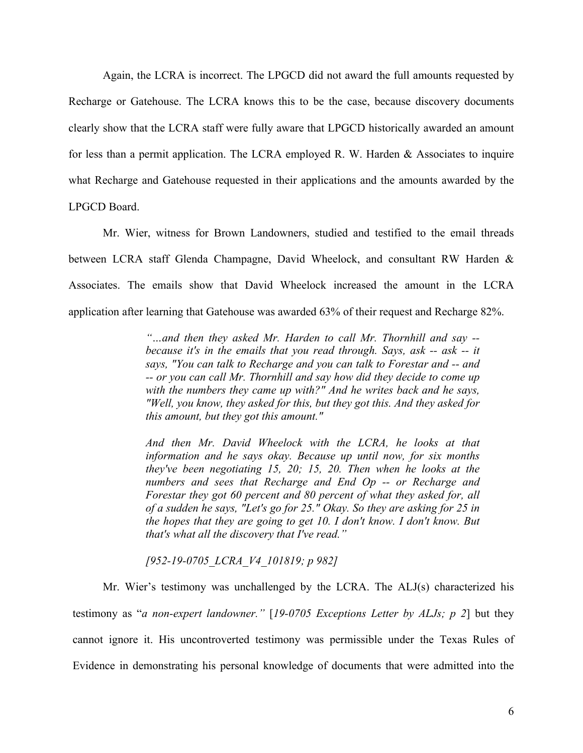Again, the LCRA is incorrect. The LPGCD did not award the full amounts requested by Recharge or Gatehouse. The LCRA knows this to be the case, because discovery documents clearly show that the LCRA staff were fully aware that LPGCD historically awarded an amount for less than a permit application. The LCRA employed R. W. Harden & Associates to inquire what Recharge and Gatehouse requested in their applications and the amounts awarded by the LPGCD Board.

Mr. Wier, witness for Brown Landowners, studied and testified to the email threads between LCRA staff Glenda Champagne, David Wheelock, and consultant RW Harden & Associates. The emails show that David Wheelock increased the amount in the LCRA application after learning that Gatehouse was awarded 63% of their request and Recharge 82%.

> *"…and then they asked Mr. Harden to call Mr. Thornhill and say - because it's in the emails that you read through. Says, ask -- ask -- it says, "You can talk to Recharge and you can talk to Forestar and -- and -- or you can call Mr. Thornhill and say how did they decide to come up with the numbers they came up with?" And he writes back and he says, "Well, you know, they asked for this, but they got this. And they asked for this amount, but they got this amount."*

> *And then Mr. David Wheelock with the LCRA, he looks at that information and he says okay. Because up until now, for six months they've been negotiating 15, 20; 15, 20. Then when he looks at the numbers and sees that Recharge and End Op -- or Recharge and Forestar they got 60 percent and 80 percent of what they asked for, all of a sudden he says, "Let's go for 25." Okay. So they are asking for 25 in the hopes that they are going to get 10. I don't know. I don't know. But that's what all the discovery that I've read."*

*[952-19-0705\_LCRA\_V4\_101819; p 982]*

Mr. Wier's testimony was unchallenged by the LCRA. The ALJ(s) characterized his testimony as "*a non-expert landowner."* [*19-0705 Exceptions Letter by ALJs; p 2*] but they cannot ignore it. His uncontroverted testimony was permissible under the Texas Rules of Evidence in demonstrating his personal knowledge of documents that were admitted into the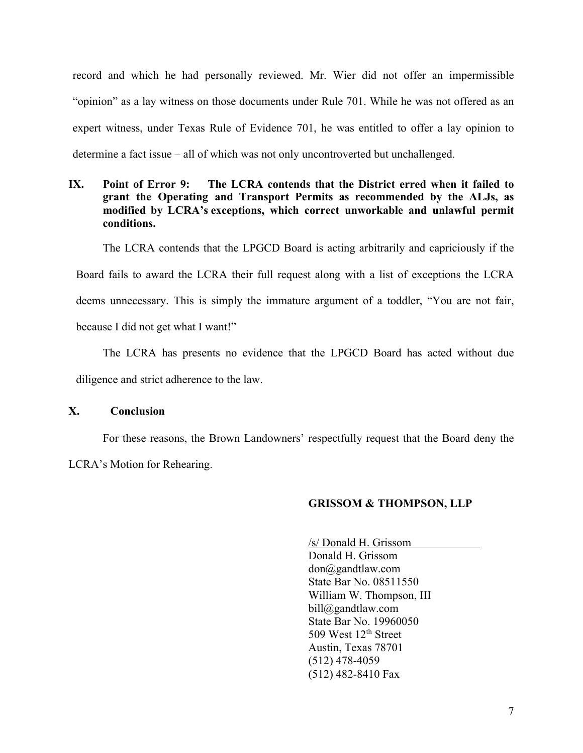record and which he had personally reviewed. Mr. Wier did not offer an impermissible "opinion" as a lay witness on those documents under Rule 701. While he was not offered as an expert witness, under Texas Rule of Evidence 701, he was entitled to offer a lay opinion to determine a fact issue – all of which was not only uncontroverted but unchallenged.

# **IX. Point of Error 9: The LCRA contends that the District erred when it failed to grant the Operating and Transport Permits as recommended by the ALJs, as modified by LCRA's exceptions, which correct unworkable and unlawful permit conditions.**

The LCRA contends that the LPGCD Board is acting arbitrarily and capriciously if the

Board fails to award the LCRA their full request along with a list of exceptions the LCRA

deems unnecessary. This is simply the immature argument of a toddler, "You are not fair,

because I did not get what I want!"

The LCRA has presents no evidence that the LPGCD Board has acted without due diligence and strict adherence to the law.

#### **X. Conclusion**

For these reasons, the Brown Landowners' respectfully request that the Board deny the LCRA's Motion for Rehearing.

#### **GRISSOM & THOMPSON, LLP**

/s/ Donald H. Grissom Donald H. Grissom don@gandtlaw.com State Bar No. 08511550 William W. Thompson, III bill@gandtlaw.com State Bar No. 19960050 509 West 12<sup>th</sup> Street Austin, Texas 78701 (512) 478-4059 (512) 482-8410 Fax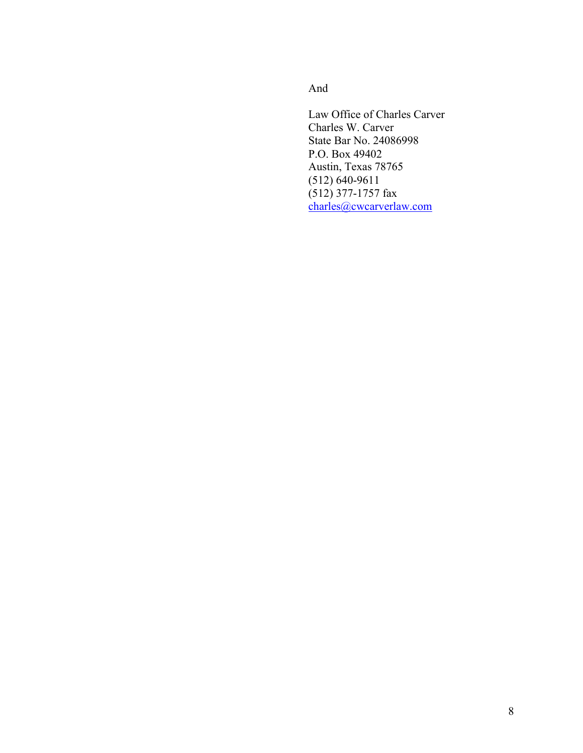And

Law Office of Charles Carver Charles W. Carver State Bar No. 24086998 P.O. Box 49402 Austin, Texas 78765 (512) 640-9611 (512) 377-1757 fax charles@cwcarverlaw.com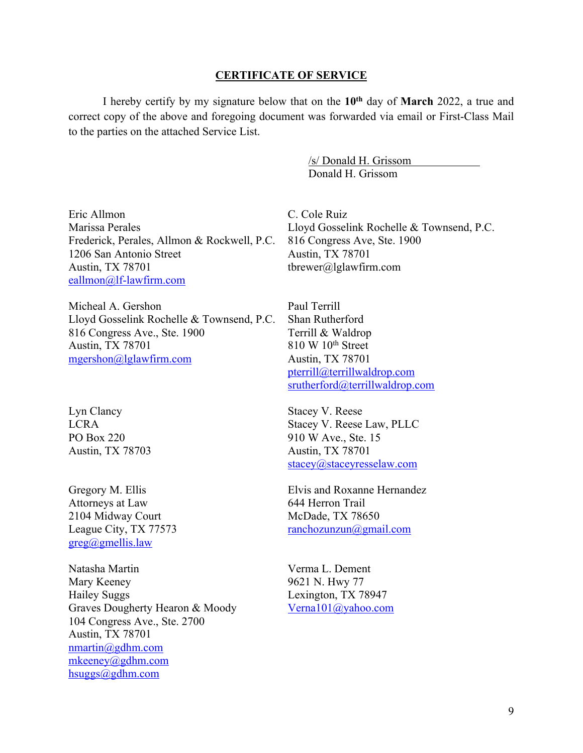#### **CERTIFICATE OF SERVICE**

I hereby certify by my signature below that on the **10th** day of **March** 2022, a true and correct copy of the above and foregoing document was forwarded via email or First-Class Mail to the parties on the attached Service List.

> /s/ Donald H. Grissom Donald H. Grissom

Eric Allmon Marissa Perales Frederick, Perales, Allmon & Rockwell, P.C. 1206 San Antonio Street Austin, TX 78701 eallmon@lf-lawfirm.com

Micheal A. Gershon Lloyd Gosselink Rochelle & Townsend, P.C. 816 Congress Ave., Ste. 1900 Austin, TX 78701 mgershon@lglawfirm.com

Lyn Clancy LCRA PO Box 220 Austin, TX 78703

Gregory M. Ellis Attorneys at Law 2104 Midway Court League City, TX 77573 greg@gmellis.law

Natasha Martin Mary Keeney Hailey Suggs Graves Dougherty Hearon & Moody 104 Congress Ave., Ste. 2700 Austin, TX 78701 nmartin@gdhm.com mkeeney@gdhm.com hsuggs@gdhm.com

C. Cole Ruiz Lloyd Gosselink Rochelle & Townsend, P.C. 816 Congress Ave, Ste. 1900 Austin, TX 78701 tbrewer@lglawfirm.com

Paul Terrill Shan Rutherford Terrill & Waldrop  $810 \text{ W } 10^{\text{th}}$  Street Austin, TX 78701 pterrill@terrillwaldrop.com srutherford@terrillwaldrop.com

Stacey V. Reese Stacey V. Reese Law, PLLC 910 W Ave., Ste. 15 Austin, TX 78701 stacey@staceyresselaw.com

Elvis and Roxanne Hernandez 644 Herron Trail McDade, TX 78650 ranchozunzun@gmail.com

Verma L. Dement 9621 N. Hwy 77 Lexington, TX 78947 Verna101@yahoo.com